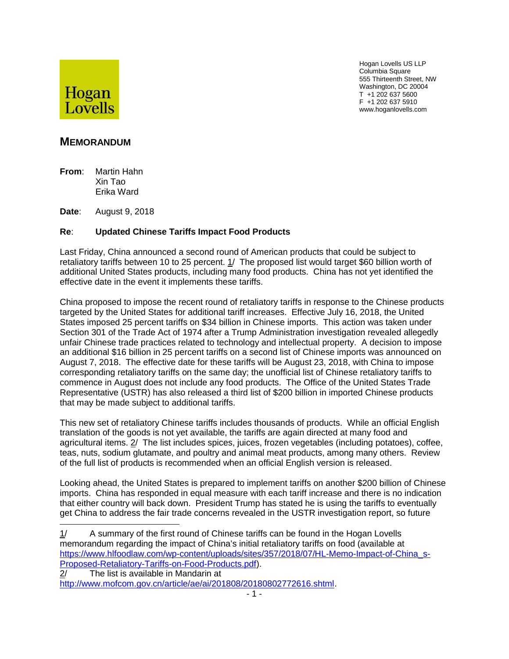

Hogan Lovells US LLP Columbia Square 555 Thirteenth Street, NW Washington, DC 20004 T +1 202 637 5600 F +1 202 637 5910 www.hoganlovells.com

## **MEMORANDUM**

**From**: Martin Hahn Xin Tao Erika Ward

**Date**: August 9, 2018

## **Re**: **Updated Chinese Tariffs Impact Food Products**

Last Friday, China announced a second round of American products that could be subject to retaliatory tariffs between 10 to 25 percent. 1/ The proposed list would target \$60 billion worth of additional United States products, including many food products. China has not yet identified the effective date in the event it implements these tariffs.

China proposed to impose the recent round of retaliatory tariffs in response to the Chinese products targeted by the United States for additional tariff increases. Effective July 16, 2018, the United States imposed 25 percent tariffs on \$34 billion in Chinese imports. This action was taken under Section 301 of the Trade Act of 1974 after a Trump Administration investigation revealed allegedly unfair Chinese trade practices related to technology and intellectual property. A decision to impose an additional \$16 billion in 25 percent tariffs on a second list of Chinese imports was announced on August 7, 2018. The effective date for these tariffs will be August 23, 2018, with China to impose corresponding retaliatory tariffs on the same day; the unofficial list of Chinese retaliatory tariffs to commence in August does not include any food products. The Office of the United States Trade Representative (USTR) has also released a third list of \$200 billion in imported Chinese products that may be made subject to additional tariffs.

This new set of retaliatory Chinese tariffs includes thousands of products. While an official English translation of the goods is not yet available, the tariffs are again directed at many food and agricultural items. 2/ The list includes spices, juices, frozen vegetables (including potatoes), coffee, teas, nuts, sodium glutamate, and poultry and animal meat products, among many others. Review of the full list of products is recommended when an official English version is released.

Looking ahead, the United States is prepared to implement tariffs on another \$200 billion of Chinese imports. China has responded in equal measure with each tariff increase and there is no indication that either country will back down. President Trump has stated he is using the tariffs to eventually get China to address the fair trade concerns revealed in the USTR investigation report, so future

<sup>1/</sup> A summary of the first round of Chinese tariffs can be found in the Hogan Lovells memorandum regarding the impact of China's initial retaliatory tariffs on food (available at https://www.hlfoodlaw.com/wp-content/uploads/sites/357/2018/07/HL-Memo-Impact-of-China\_s-Proposed-Retaliatory-Tariffs-on-Food-Products.pdf).

<sup>2/</sup> The list is available in Mandarin at

http://www.mofcom.gov.cn/article/ae/ai/201808/20180802772616.shtml.